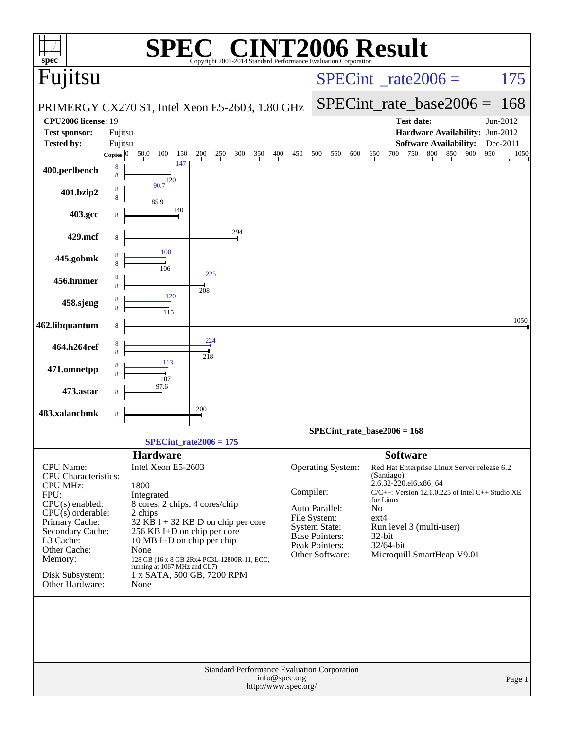| spec <sup>®</sup>                           |                       |                                    | Copyright 2006-2014 Standard Performance Evaluation Corporation |               |                                 | <b>INT2006 Result</b>                                 |             |  |
|---------------------------------------------|-----------------------|------------------------------------|-----------------------------------------------------------------|---------------|---------------------------------|-------------------------------------------------------|-------------|--|
| Fujitsu                                     |                       |                                    |                                                                 |               |                                 | $SPECint^{\circ}$ rate $2006 =$                       | 175         |  |
|                                             |                       |                                    |                                                                 |               |                                 | $SPECint_rate\_base2006 =$                            | 168         |  |
| <b>CPU2006 license: 19</b>                  |                       |                                    | PRIMERGY CX270 S1, Intel Xeon E5-2603, 1.80 GHz                 |               |                                 | <b>Test date:</b>                                     | Jun-2012    |  |
| <b>Test sponsor:</b>                        | Fujitsu               |                                    |                                                                 |               |                                 | Hardware Availability: Jun-2012                       |             |  |
| <b>Tested by:</b>                           | Fujitsu               |                                    |                                                                 |               |                                 | <b>Software Availability:</b>                         | Dec-2011    |  |
|                                             | Copies $\overline{0}$ | 50.0<br>100<br>150                 | 200<br>250<br>300<br>350<br>400                                 | 450           | 500<br>550<br>600               | 750<br>800<br>850<br>900<br>650<br>700                | 950<br>1050 |  |
| 400.perlbench                               | 8<br>8                | 147<br>120                         |                                                                 |               |                                 |                                                       |             |  |
| 401.bzip2                                   | 8<br>8                | 90.7                               |                                                                 |               |                                 |                                                       |             |  |
| 403.gcc                                     | 8                     | 85.9<br>140                        |                                                                 |               |                                 |                                                       |             |  |
| 429.mcf                                     | 8                     |                                    | 294                                                             |               |                                 |                                                       |             |  |
| 445.gobmk                                   | 8                     | 108                                |                                                                 |               |                                 |                                                       |             |  |
|                                             | 8<br>8                | 106                                | 225                                                             |               |                                 |                                                       |             |  |
| 456.hmmer                                   | 8                     | 120                                | 208                                                             |               |                                 |                                                       |             |  |
| 458.sjeng                                   | 8<br>8                | 115                                |                                                                 |               |                                 |                                                       |             |  |
| 462.libquantum                              | 8                     |                                    |                                                                 |               |                                 |                                                       | 1050        |  |
| 464.h264ref                                 | 8<br>8                |                                    | $\frac{224}{4}$                                                 |               |                                 |                                                       |             |  |
| 471.omnetpp                                 | 8<br>8                | 113                                | 218                                                             |               |                                 |                                                       |             |  |
| 473.astar                                   | 8                     | 107<br>97.6                        |                                                                 |               |                                 |                                                       |             |  |
| 483.xalancbmk                               |                       |                                    | 200                                                             |               |                                 |                                                       |             |  |
|                                             | 8                     |                                    |                                                                 |               |                                 |                                                       |             |  |
|                                             |                       |                                    |                                                                 |               |                                 | $SPECint_rate_base2006 = 168$                         |             |  |
|                                             |                       | <b>Hardware</b>                    | $SPECint_rate2006 = 175$                                        |               |                                 | <b>Software</b>                                       |             |  |
| <b>CPU</b> Name:                            |                       | Intel Xeon E5-2603                 |                                                                 |               | <b>Operating System:</b>        | Red Hat Enterprise Linux Server release 6.2           |             |  |
| <b>CPU</b> Characteristics:                 |                       |                                    |                                                                 |               |                                 | (Santiago)<br>2.6.32-220.el6.x86_64                   |             |  |
| <b>CPU MHz:</b><br>FPU:                     |                       | 1800<br>Integrated                 |                                                                 | Compiler:     |                                 | $C/C++$ : Version 12.1.0.225 of Intel $C++$ Studio XE |             |  |
| $CPU(s)$ enabled:                           |                       | 8 cores, 2 chips, 4 cores/chip     |                                                                 |               | Auto Parallel:                  | for Linux<br>No                                       |             |  |
| $CPU(s)$ orderable:<br>Primary Cache:       |                       | 2 chips                            | $32$ KB I + 32 KB D on chip per core                            |               | File System:                    | $ext{4}$                                              |             |  |
| Secondary Cache:                            |                       | 256 KB I+D on chip per core        |                                                                 |               | System State:<br>Base Pointers: | Run level 3 (multi-user)<br>32-bit                    |             |  |
| L3 Cache:<br>Other Cache:                   |                       | 10 MB I+D on chip per chip<br>None |                                                                 |               | Peak Pointers:                  | 32/64-bit                                             |             |  |
| Memory:                                     |                       |                                    | 128 GB (16 x 8 GB 2Rx4 PC3L-12800R-11, ECC,                     |               | Other Software:                 | Microquill SmartHeap V9.01                            |             |  |
| Disk Subsystem:                             |                       | running at 1067 MHz and CL7)       | 1 x SATA, 500 GB, 7200 RPM                                      |               |                                 |                                                       |             |  |
| Other Hardware:                             |                       | None                               |                                                                 |               |                                 |                                                       |             |  |
|                                             |                       |                                    |                                                                 |               |                                 |                                                       |             |  |
|                                             |                       |                                    |                                                                 |               |                                 |                                                       |             |  |
|                                             |                       |                                    |                                                                 |               |                                 |                                                       |             |  |
|                                             |                       |                                    |                                                                 |               |                                 |                                                       |             |  |
| Standard Performance Evaluation Corporation |                       |                                    |                                                                 |               |                                 |                                                       |             |  |
|                                             |                       |                                    |                                                                 | info@spec.org |                                 |                                                       | Page 1      |  |
|                                             |                       |                                    | http://www.spec.org/                                            |               |                                 |                                                       |             |  |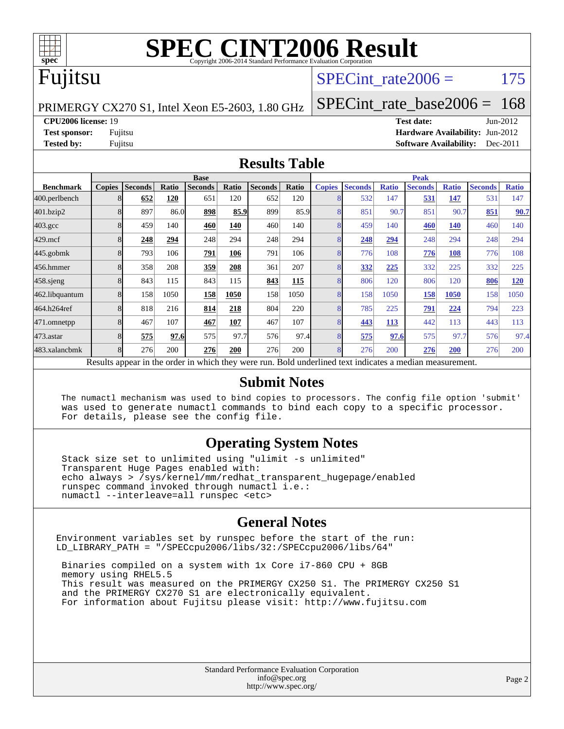

# **[SPEC CINT2006 Result](http://www.spec.org/auto/cpu2006/Docs/result-fields.html#SPECCINT2006Result)**

#### Fujitsu

#### SPECint rate $2006 = 175$

PRIMERGY CX270 S1, Intel Xeon E5-2603, 1.80 GHz

[SPECint\\_rate\\_base2006 =](http://www.spec.org/auto/cpu2006/Docs/result-fields.html#SPECintratebase2006) 168

**[CPU2006 license:](http://www.spec.org/auto/cpu2006/Docs/result-fields.html#CPU2006license)** 19 **[Test date:](http://www.spec.org/auto/cpu2006/Docs/result-fields.html#Testdate)** Jun-2012

**[Test sponsor:](http://www.spec.org/auto/cpu2006/Docs/result-fields.html#Testsponsor)** Fujitsu **[Hardware Availability:](http://www.spec.org/auto/cpu2006/Docs/result-fields.html#HardwareAvailability)** Jun-2012 **[Tested by:](http://www.spec.org/auto/cpu2006/Docs/result-fields.html#Testedby)** Fujitsu **[Software Availability:](http://www.spec.org/auto/cpu2006/Docs/result-fields.html#SoftwareAvailability)** Dec-2011

#### **[Results Table](http://www.spec.org/auto/cpu2006/Docs/result-fields.html#ResultsTable)**

|                                                                                                          | <b>Base</b>   |                |       |                |       |                |       | <b>Peak</b>   |                |              |                |              |                |              |
|----------------------------------------------------------------------------------------------------------|---------------|----------------|-------|----------------|-------|----------------|-------|---------------|----------------|--------------|----------------|--------------|----------------|--------------|
| <b>Benchmark</b>                                                                                         | <b>Copies</b> | <b>Seconds</b> | Ratio | <b>Seconds</b> | Ratio | <b>Seconds</b> | Ratio | <b>Copies</b> | <b>Seconds</b> | <b>Ratio</b> | <b>Seconds</b> | <b>Ratio</b> | <b>Seconds</b> | <b>Ratio</b> |
| 400.perlbench                                                                                            | 8             | 652            | 120   | 651            | 120   | 652            | 120   | 8             | 532            | 147          | 531            | 147          | 531            | 147          |
| 401.bzip2                                                                                                | 8             | 897            | 86.0  | 898            | 85.9  | 899            | 85.9  |               | 851            | 90.7         | 851            | 90.7         | 851            | 90.7         |
| $403.\mathrm{gcc}$                                                                                       | 8             | 459            | 140   | 460            | 140   | 460            | 140   | 8             | 459            | 140          | 460            | 140          | 460            | 140          |
| $429$ .mcf                                                                                               | 8             | 248            | 294   | 248            | 294   | 248            | 294   | 8             | 248            | 294          | 248            | 294          | 248            | 294          |
| $445$ .gobm $k$                                                                                          | 8             | 793            | 106   | 791            | 106   | 791            | 106   | 8             | 776            | 108          | 776            | 108          | 776            | 108          |
| 456.hmmer                                                                                                | 8             | 358            | 208   | 359            | 208   | 361            | 207   | 8             | 332            | 225          | 332            | 225          | 332            | 225          |
| $458$ .sjeng                                                                                             | 8             | 843            | 115   | 843            | 115   | 843            | 115   | 8             | 806            | 120          | 806            | 120          | 806            | 120          |
| 462.libquantum                                                                                           | 8             | 158            | 1050  | 158            | 1050  | 158            | 1050  | 8             | 158            | 1050         | 158            | 1050         | 158            | 1050         |
| 464.h264ref                                                                                              | 8             | 818            | 216   | 814            | 218   | 804            | 220   | 8             | 785            | 225          | 791            | 224          | 794            | 223          |
| 471.omnetpp                                                                                              | 8             | 467            | 107   | 467            | 107   | 467            | 107   | 8             | 443            | <b>113</b>   | 442            | 113          | 443            | 113          |
| 473.astar                                                                                                | 8             | 575            | 97.6  | 575            | 97.7  | 576            | 97.4  | 8             | 575            | 97.6         | 575            | 97.7         | 576            | 97.4         |
| 483.xalancbmk                                                                                            | $\mathbf{8}$  | 276            | 200   | 276            | 200   | 276            | 200   | 8             | 276            | 200          | 276            | 200          | 276            | 200          |
| Results appear in the order in which they were run. Bold underlined text indicates a median measurement. |               |                |       |                |       |                |       |               |                |              |                |              |                |              |

#### **[Submit Notes](http://www.spec.org/auto/cpu2006/Docs/result-fields.html#SubmitNotes)**

 The numactl mechanism was used to bind copies to processors. The config file option 'submit' was used to generate numactl commands to bind each copy to a specific processor. For details, please see the config file.

#### **[Operating System Notes](http://www.spec.org/auto/cpu2006/Docs/result-fields.html#OperatingSystemNotes)**

 Stack size set to unlimited using "ulimit -s unlimited" Transparent Huge Pages enabled with: echo always > /sys/kernel/mm/redhat\_transparent\_hugepage/enabled runspec command invoked through numactl i.e.: numactl --interleave=all runspec <etc>

#### **[General Notes](http://www.spec.org/auto/cpu2006/Docs/result-fields.html#GeneralNotes)**

Environment variables set by runspec before the start of the run: LD\_LIBRARY\_PATH = "/SPECcpu2006/libs/32:/SPECcpu2006/libs/64"

 Binaries compiled on a system with 1x Core i7-860 CPU + 8GB memory using RHEL5.5 This result was measured on the PRIMERGY CX250 S1. The PRIMERGY CX250 S1 and the PRIMERGY CX270 S1 are electronically equivalent. For information about Fujitsu please visit: <http://www.fujitsu.com>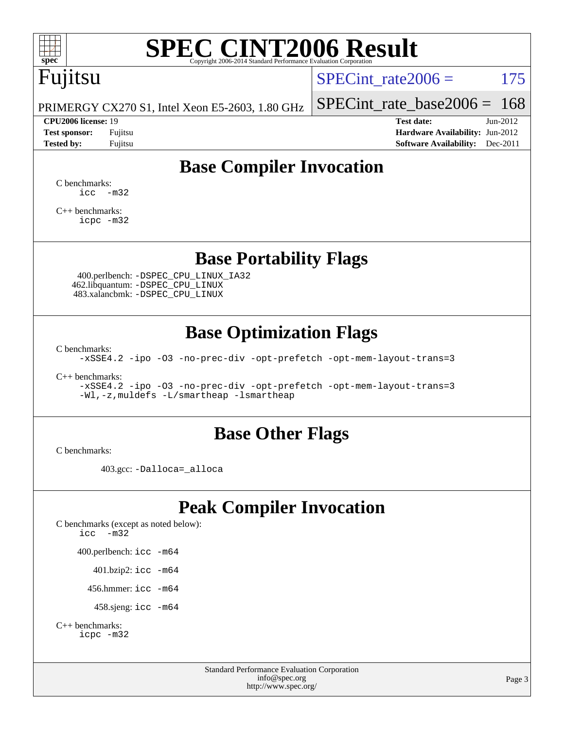

# **[SPEC CINT2006 Result](http://www.spec.org/auto/cpu2006/Docs/result-fields.html#SPECCINT2006Result)**

# Fujitsu

SPECint rate $2006 = 175$ 

PRIMERGY CX270 S1, Intel Xeon E5-2603, 1.80 GHz

#### **[CPU2006 license:](http://www.spec.org/auto/cpu2006/Docs/result-fields.html#CPU2006license)** 19 **[Test date:](http://www.spec.org/auto/cpu2006/Docs/result-fields.html#Testdate)** Jun-2012

[SPECint\\_rate\\_base2006 =](http://www.spec.org/auto/cpu2006/Docs/result-fields.html#SPECintratebase2006) 168

**[Test sponsor:](http://www.spec.org/auto/cpu2006/Docs/result-fields.html#Testsponsor)** Fujitsu **[Hardware Availability:](http://www.spec.org/auto/cpu2006/Docs/result-fields.html#HardwareAvailability)** Jun-2012 **[Tested by:](http://www.spec.org/auto/cpu2006/Docs/result-fields.html#Testedby)** Fujitsu **Fugital Example 2011 [Software Availability:](http://www.spec.org/auto/cpu2006/Docs/result-fields.html#SoftwareAvailability)** Dec-2011

#### **[Base Compiler Invocation](http://www.spec.org/auto/cpu2006/Docs/result-fields.html#BaseCompilerInvocation)**

[C benchmarks](http://www.spec.org/auto/cpu2006/Docs/result-fields.html#Cbenchmarks):  $\text{icc}$   $-\text{m32}$ 

[C++ benchmarks:](http://www.spec.org/auto/cpu2006/Docs/result-fields.html#CXXbenchmarks) [icpc -m32](http://www.spec.org/cpu2006/results/res2012q3/cpu2006-20120620-23142.flags.html#user_CXXbase_intel_icpc_4e5a5ef1a53fd332b3c49e69c3330699)

#### **[Base Portability Flags](http://www.spec.org/auto/cpu2006/Docs/result-fields.html#BasePortabilityFlags)**

 400.perlbench: [-DSPEC\\_CPU\\_LINUX\\_IA32](http://www.spec.org/cpu2006/results/res2012q3/cpu2006-20120620-23142.flags.html#b400.perlbench_baseCPORTABILITY_DSPEC_CPU_LINUX_IA32) 462.libquantum: [-DSPEC\\_CPU\\_LINUX](http://www.spec.org/cpu2006/results/res2012q3/cpu2006-20120620-23142.flags.html#b462.libquantum_baseCPORTABILITY_DSPEC_CPU_LINUX) 483.xalancbmk: [-DSPEC\\_CPU\\_LINUX](http://www.spec.org/cpu2006/results/res2012q3/cpu2006-20120620-23142.flags.html#b483.xalancbmk_baseCXXPORTABILITY_DSPEC_CPU_LINUX)

#### **[Base Optimization Flags](http://www.spec.org/auto/cpu2006/Docs/result-fields.html#BaseOptimizationFlags)**

[C benchmarks](http://www.spec.org/auto/cpu2006/Docs/result-fields.html#Cbenchmarks):

[-xSSE4.2](http://www.spec.org/cpu2006/results/res2012q3/cpu2006-20120620-23142.flags.html#user_CCbase_f-xSSE42_f91528193cf0b216347adb8b939d4107) [-ipo](http://www.spec.org/cpu2006/results/res2012q3/cpu2006-20120620-23142.flags.html#user_CCbase_f-ipo) [-O3](http://www.spec.org/cpu2006/results/res2012q3/cpu2006-20120620-23142.flags.html#user_CCbase_f-O3) [-no-prec-div](http://www.spec.org/cpu2006/results/res2012q3/cpu2006-20120620-23142.flags.html#user_CCbase_f-no-prec-div) [-opt-prefetch](http://www.spec.org/cpu2006/results/res2012q3/cpu2006-20120620-23142.flags.html#user_CCbase_f-opt-prefetch) [-opt-mem-layout-trans=3](http://www.spec.org/cpu2006/results/res2012q3/cpu2006-20120620-23142.flags.html#user_CCbase_f-opt-mem-layout-trans_a7b82ad4bd7abf52556d4961a2ae94d5)

[C++ benchmarks:](http://www.spec.org/auto/cpu2006/Docs/result-fields.html#CXXbenchmarks)

[-xSSE4.2](http://www.spec.org/cpu2006/results/res2012q3/cpu2006-20120620-23142.flags.html#user_CXXbase_f-xSSE42_f91528193cf0b216347adb8b939d4107) [-ipo](http://www.spec.org/cpu2006/results/res2012q3/cpu2006-20120620-23142.flags.html#user_CXXbase_f-ipo) [-O3](http://www.spec.org/cpu2006/results/res2012q3/cpu2006-20120620-23142.flags.html#user_CXXbase_f-O3) [-no-prec-div](http://www.spec.org/cpu2006/results/res2012q3/cpu2006-20120620-23142.flags.html#user_CXXbase_f-no-prec-div) [-opt-prefetch](http://www.spec.org/cpu2006/results/res2012q3/cpu2006-20120620-23142.flags.html#user_CXXbase_f-opt-prefetch) [-opt-mem-layout-trans=3](http://www.spec.org/cpu2006/results/res2012q3/cpu2006-20120620-23142.flags.html#user_CXXbase_f-opt-mem-layout-trans_a7b82ad4bd7abf52556d4961a2ae94d5) [-Wl,-z,muldefs](http://www.spec.org/cpu2006/results/res2012q3/cpu2006-20120620-23142.flags.html#user_CXXbase_link_force_multiple1_74079c344b956b9658436fd1b6dd3a8a) [-L/smartheap -lsmartheap](http://www.spec.org/cpu2006/results/res2012q3/cpu2006-20120620-23142.flags.html#user_CXXbase_SmartHeap_7c9e394a5779e1a7fec7c221e123830c)

#### **[Base Other Flags](http://www.spec.org/auto/cpu2006/Docs/result-fields.html#BaseOtherFlags)**

[C benchmarks](http://www.spec.org/auto/cpu2006/Docs/result-fields.html#Cbenchmarks):

403.gcc: [-Dalloca=\\_alloca](http://www.spec.org/cpu2006/results/res2012q3/cpu2006-20120620-23142.flags.html#b403.gcc_baseEXTRA_CFLAGS_Dalloca_be3056838c12de2578596ca5467af7f3)

#### **[Peak Compiler Invocation](http://www.spec.org/auto/cpu2006/Docs/result-fields.html#PeakCompilerInvocation)**

[C benchmarks \(except as noted below\)](http://www.spec.org/auto/cpu2006/Docs/result-fields.html#Cbenchmarksexceptasnotedbelow): [icc -m32](http://www.spec.org/cpu2006/results/res2012q3/cpu2006-20120620-23142.flags.html#user_CCpeak_intel_icc_5ff4a39e364c98233615fdd38438c6f2) 400.perlbench: [icc -m64](http://www.spec.org/cpu2006/results/res2012q3/cpu2006-20120620-23142.flags.html#user_peakCCLD400_perlbench_intel_icc_64bit_bda6cc9af1fdbb0edc3795bac97ada53) 401.bzip2: [icc -m64](http://www.spec.org/cpu2006/results/res2012q3/cpu2006-20120620-23142.flags.html#user_peakCCLD401_bzip2_intel_icc_64bit_bda6cc9af1fdbb0edc3795bac97ada53)

456.hmmer: [icc -m64](http://www.spec.org/cpu2006/results/res2012q3/cpu2006-20120620-23142.flags.html#user_peakCCLD456_hmmer_intel_icc_64bit_bda6cc9af1fdbb0edc3795bac97ada53)

458.sjeng: [icc -m64](http://www.spec.org/cpu2006/results/res2012q3/cpu2006-20120620-23142.flags.html#user_peakCCLD458_sjeng_intel_icc_64bit_bda6cc9af1fdbb0edc3795bac97ada53)

```
C++ benchmarks: 
icpc -m32
```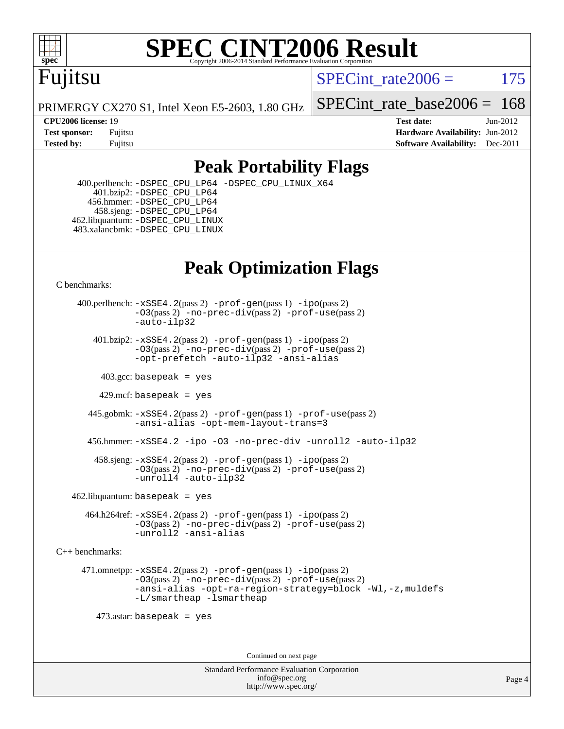

#### **[SPEC CINT2006 Result](http://www.spec.org/auto/cpu2006/Docs/result-fields.html#SPECCINT2006Result)** Copyright 2006-2014 Standard Performance Evaluation C

## Fujitsu

SPECint rate $2006 = 175$ 

PRIMERGY CX270 S1, Intel Xeon E5-2603, 1.80 GHz

**[CPU2006 license:](http://www.spec.org/auto/cpu2006/Docs/result-fields.html#CPU2006license)** 19 **[Test date:](http://www.spec.org/auto/cpu2006/Docs/result-fields.html#Testdate)** Jun-2012

SPECint rate base  $2006 = 168$ 

**[Test sponsor:](http://www.spec.org/auto/cpu2006/Docs/result-fields.html#Testsponsor)** Fujitsu **[Hardware Availability:](http://www.spec.org/auto/cpu2006/Docs/result-fields.html#HardwareAvailability)** Jun-2012 **[Tested by:](http://www.spec.org/auto/cpu2006/Docs/result-fields.html#Testedby)** Fujitsu **Fugital Example 2011 [Software Availability:](http://www.spec.org/auto/cpu2006/Docs/result-fields.html#SoftwareAvailability)** Dec-2011

#### **[Peak Portability Flags](http://www.spec.org/auto/cpu2006/Docs/result-fields.html#PeakPortabilityFlags)**

 400.perlbench: [-DSPEC\\_CPU\\_LP64](http://www.spec.org/cpu2006/results/res2012q3/cpu2006-20120620-23142.flags.html#b400.perlbench_peakCPORTABILITY_DSPEC_CPU_LP64) [-DSPEC\\_CPU\\_LINUX\\_X64](http://www.spec.org/cpu2006/results/res2012q3/cpu2006-20120620-23142.flags.html#b400.perlbench_peakCPORTABILITY_DSPEC_CPU_LINUX_X64) 401.bzip2: [-DSPEC\\_CPU\\_LP64](http://www.spec.org/cpu2006/results/res2012q3/cpu2006-20120620-23142.flags.html#suite_peakCPORTABILITY401_bzip2_DSPEC_CPU_LP64) 456.hmmer: [-DSPEC\\_CPU\\_LP64](http://www.spec.org/cpu2006/results/res2012q3/cpu2006-20120620-23142.flags.html#suite_peakCPORTABILITY456_hmmer_DSPEC_CPU_LP64) 458.sjeng: [-DSPEC\\_CPU\\_LP64](http://www.spec.org/cpu2006/results/res2012q3/cpu2006-20120620-23142.flags.html#suite_peakCPORTABILITY458_sjeng_DSPEC_CPU_LP64) 462.libquantum: [-DSPEC\\_CPU\\_LINUX](http://www.spec.org/cpu2006/results/res2012q3/cpu2006-20120620-23142.flags.html#b462.libquantum_peakCPORTABILITY_DSPEC_CPU_LINUX) 483.xalancbmk: [-DSPEC\\_CPU\\_LINUX](http://www.spec.org/cpu2006/results/res2012q3/cpu2006-20120620-23142.flags.html#b483.xalancbmk_peakCXXPORTABILITY_DSPEC_CPU_LINUX)

### **[Peak Optimization Flags](http://www.spec.org/auto/cpu2006/Docs/result-fields.html#PeakOptimizationFlags)**

[C benchmarks](http://www.spec.org/auto/cpu2006/Docs/result-fields.html#Cbenchmarks):

 400.perlbench: [-xSSE4.2](http://www.spec.org/cpu2006/results/res2012q3/cpu2006-20120620-23142.flags.html#user_peakPASS2_CFLAGSPASS2_LDCFLAGS400_perlbench_f-xSSE42_f91528193cf0b216347adb8b939d4107)(pass 2) [-prof-gen](http://www.spec.org/cpu2006/results/res2012q3/cpu2006-20120620-23142.flags.html#user_peakPASS1_CFLAGSPASS1_LDCFLAGS400_perlbench_prof_gen_e43856698f6ca7b7e442dfd80e94a8fc)(pass 1) [-ipo](http://www.spec.org/cpu2006/results/res2012q3/cpu2006-20120620-23142.flags.html#user_peakPASS2_CFLAGSPASS2_LDCFLAGS400_perlbench_f-ipo)(pass 2) [-O3](http://www.spec.org/cpu2006/results/res2012q3/cpu2006-20120620-23142.flags.html#user_peakPASS2_CFLAGSPASS2_LDCFLAGS400_perlbench_f-O3)(pass 2) [-no-prec-div](http://www.spec.org/cpu2006/results/res2012q3/cpu2006-20120620-23142.flags.html#user_peakPASS2_CFLAGSPASS2_LDCFLAGS400_perlbench_f-no-prec-div)(pass 2) [-prof-use](http://www.spec.org/cpu2006/results/res2012q3/cpu2006-20120620-23142.flags.html#user_peakPASS2_CFLAGSPASS2_LDCFLAGS400_perlbench_prof_use_bccf7792157ff70d64e32fe3e1250b55)(pass 2) [-auto-ilp32](http://www.spec.org/cpu2006/results/res2012q3/cpu2006-20120620-23142.flags.html#user_peakCOPTIMIZE400_perlbench_f-auto-ilp32)  $401.bzip2: -xSSE4.2(pass 2) -prof-qen(pass 1) -ipo(pass 2)$  $401.bzip2: -xSSE4.2(pass 2) -prof-qen(pass 1) -ipo(pass 2)$  $401.bzip2: -xSSE4.2(pass 2) -prof-qen(pass 1) -ipo(pass 2)$  $401.bzip2: -xSSE4.2(pass 2) -prof-qen(pass 1) -ipo(pass 2)$  $401.bzip2: -xSSE4.2(pass 2) -prof-qen(pass 1) -ipo(pass 2)$ [-O3](http://www.spec.org/cpu2006/results/res2012q3/cpu2006-20120620-23142.flags.html#user_peakPASS2_CFLAGSPASS2_LDCFLAGS401_bzip2_f-O3)(pass 2) [-no-prec-div](http://www.spec.org/cpu2006/results/res2012q3/cpu2006-20120620-23142.flags.html#user_peakPASS2_CFLAGSPASS2_LDCFLAGS401_bzip2_f-no-prec-div)(pass 2) [-prof-use](http://www.spec.org/cpu2006/results/res2012q3/cpu2006-20120620-23142.flags.html#user_peakPASS2_CFLAGSPASS2_LDCFLAGS401_bzip2_prof_use_bccf7792157ff70d64e32fe3e1250b55)(pass 2) [-opt-prefetch](http://www.spec.org/cpu2006/results/res2012q3/cpu2006-20120620-23142.flags.html#user_peakCOPTIMIZE401_bzip2_f-opt-prefetch) [-auto-ilp32](http://www.spec.org/cpu2006/results/res2012q3/cpu2006-20120620-23142.flags.html#user_peakCOPTIMIZE401_bzip2_f-auto-ilp32) [-ansi-alias](http://www.spec.org/cpu2006/results/res2012q3/cpu2006-20120620-23142.flags.html#user_peakCOPTIMIZE401_bzip2_f-ansi-alias)  $403.\text{sec: basepeak}$  = yes 429.mcf: basepeak = yes 445.gobmk: [-xSSE4.2](http://www.spec.org/cpu2006/results/res2012q3/cpu2006-20120620-23142.flags.html#user_peakPASS2_CFLAGSPASS2_LDCFLAGS445_gobmk_f-xSSE42_f91528193cf0b216347adb8b939d4107)(pass 2) [-prof-gen](http://www.spec.org/cpu2006/results/res2012q3/cpu2006-20120620-23142.flags.html#user_peakPASS1_CFLAGSPASS1_LDCFLAGS445_gobmk_prof_gen_e43856698f6ca7b7e442dfd80e94a8fc)(pass 1) [-prof-use](http://www.spec.org/cpu2006/results/res2012q3/cpu2006-20120620-23142.flags.html#user_peakPASS2_CFLAGSPASS2_LDCFLAGS445_gobmk_prof_use_bccf7792157ff70d64e32fe3e1250b55)(pass 2) [-ansi-alias](http://www.spec.org/cpu2006/results/res2012q3/cpu2006-20120620-23142.flags.html#user_peakCOPTIMIZE445_gobmk_f-ansi-alias) [-opt-mem-layout-trans=3](http://www.spec.org/cpu2006/results/res2012q3/cpu2006-20120620-23142.flags.html#user_peakCOPTIMIZE445_gobmk_f-opt-mem-layout-trans_a7b82ad4bd7abf52556d4961a2ae94d5) 456.hmmer: [-xSSE4.2](http://www.spec.org/cpu2006/results/res2012q3/cpu2006-20120620-23142.flags.html#user_peakCOPTIMIZE456_hmmer_f-xSSE42_f91528193cf0b216347adb8b939d4107) [-ipo](http://www.spec.org/cpu2006/results/res2012q3/cpu2006-20120620-23142.flags.html#user_peakCOPTIMIZE456_hmmer_f-ipo) [-O3](http://www.spec.org/cpu2006/results/res2012q3/cpu2006-20120620-23142.flags.html#user_peakCOPTIMIZE456_hmmer_f-O3) [-no-prec-div](http://www.spec.org/cpu2006/results/res2012q3/cpu2006-20120620-23142.flags.html#user_peakCOPTIMIZE456_hmmer_f-no-prec-div) [-unroll2](http://www.spec.org/cpu2006/results/res2012q3/cpu2006-20120620-23142.flags.html#user_peakCOPTIMIZE456_hmmer_f-unroll_784dae83bebfb236979b41d2422d7ec2) [-auto-ilp32](http://www.spec.org/cpu2006/results/res2012q3/cpu2006-20120620-23142.flags.html#user_peakCOPTIMIZE456_hmmer_f-auto-ilp32) 458.sjeng: [-xSSE4.2](http://www.spec.org/cpu2006/results/res2012q3/cpu2006-20120620-23142.flags.html#user_peakPASS2_CFLAGSPASS2_LDCFLAGS458_sjeng_f-xSSE42_f91528193cf0b216347adb8b939d4107)(pass 2) [-prof-gen](http://www.spec.org/cpu2006/results/res2012q3/cpu2006-20120620-23142.flags.html#user_peakPASS1_CFLAGSPASS1_LDCFLAGS458_sjeng_prof_gen_e43856698f6ca7b7e442dfd80e94a8fc)(pass 1) [-ipo](http://www.spec.org/cpu2006/results/res2012q3/cpu2006-20120620-23142.flags.html#user_peakPASS2_CFLAGSPASS2_LDCFLAGS458_sjeng_f-ipo)(pass 2) [-O3](http://www.spec.org/cpu2006/results/res2012q3/cpu2006-20120620-23142.flags.html#user_peakPASS2_CFLAGSPASS2_LDCFLAGS458_sjeng_f-O3)(pass 2) [-no-prec-div](http://www.spec.org/cpu2006/results/res2012q3/cpu2006-20120620-23142.flags.html#user_peakPASS2_CFLAGSPASS2_LDCFLAGS458_sjeng_f-no-prec-div)(pass 2) [-prof-use](http://www.spec.org/cpu2006/results/res2012q3/cpu2006-20120620-23142.flags.html#user_peakPASS2_CFLAGSPASS2_LDCFLAGS458_sjeng_prof_use_bccf7792157ff70d64e32fe3e1250b55)(pass 2) [-unroll4](http://www.spec.org/cpu2006/results/res2012q3/cpu2006-20120620-23142.flags.html#user_peakCOPTIMIZE458_sjeng_f-unroll_4e5e4ed65b7fd20bdcd365bec371b81f) [-auto-ilp32](http://www.spec.org/cpu2006/results/res2012q3/cpu2006-20120620-23142.flags.html#user_peakCOPTIMIZE458_sjeng_f-auto-ilp32)  $462$ .libquantum: basepeak = yes 464.h264ref: [-xSSE4.2](http://www.spec.org/cpu2006/results/res2012q3/cpu2006-20120620-23142.flags.html#user_peakPASS2_CFLAGSPASS2_LDCFLAGS464_h264ref_f-xSSE42_f91528193cf0b216347adb8b939d4107)(pass 2) [-prof-gen](http://www.spec.org/cpu2006/results/res2012q3/cpu2006-20120620-23142.flags.html#user_peakPASS1_CFLAGSPASS1_LDCFLAGS464_h264ref_prof_gen_e43856698f6ca7b7e442dfd80e94a8fc)(pass 1) [-ipo](http://www.spec.org/cpu2006/results/res2012q3/cpu2006-20120620-23142.flags.html#user_peakPASS2_CFLAGSPASS2_LDCFLAGS464_h264ref_f-ipo)(pass 2) [-O3](http://www.spec.org/cpu2006/results/res2012q3/cpu2006-20120620-23142.flags.html#user_peakPASS2_CFLAGSPASS2_LDCFLAGS464_h264ref_f-O3)(pass 2) [-no-prec-div](http://www.spec.org/cpu2006/results/res2012q3/cpu2006-20120620-23142.flags.html#user_peakPASS2_CFLAGSPASS2_LDCFLAGS464_h264ref_f-no-prec-div)(pass 2) [-prof-use](http://www.spec.org/cpu2006/results/res2012q3/cpu2006-20120620-23142.flags.html#user_peakPASS2_CFLAGSPASS2_LDCFLAGS464_h264ref_prof_use_bccf7792157ff70d64e32fe3e1250b55)(pass 2)

[C++ benchmarks:](http://www.spec.org/auto/cpu2006/Docs/result-fields.html#CXXbenchmarks)

 471.omnetpp: [-xSSE4.2](http://www.spec.org/cpu2006/results/res2012q3/cpu2006-20120620-23142.flags.html#user_peakPASS2_CXXFLAGSPASS2_LDCXXFLAGS471_omnetpp_f-xSSE42_f91528193cf0b216347adb8b939d4107)(pass 2) [-prof-gen](http://www.spec.org/cpu2006/results/res2012q3/cpu2006-20120620-23142.flags.html#user_peakPASS1_CXXFLAGSPASS1_LDCXXFLAGS471_omnetpp_prof_gen_e43856698f6ca7b7e442dfd80e94a8fc)(pass 1) [-ipo](http://www.spec.org/cpu2006/results/res2012q3/cpu2006-20120620-23142.flags.html#user_peakPASS2_CXXFLAGSPASS2_LDCXXFLAGS471_omnetpp_f-ipo)(pass 2) [-O3](http://www.spec.org/cpu2006/results/res2012q3/cpu2006-20120620-23142.flags.html#user_peakPASS2_CXXFLAGSPASS2_LDCXXFLAGS471_omnetpp_f-O3)(pass 2) [-no-prec-div](http://www.spec.org/cpu2006/results/res2012q3/cpu2006-20120620-23142.flags.html#user_peakPASS2_CXXFLAGSPASS2_LDCXXFLAGS471_omnetpp_f-no-prec-div)(pass 2) [-prof-use](http://www.spec.org/cpu2006/results/res2012q3/cpu2006-20120620-23142.flags.html#user_peakPASS2_CXXFLAGSPASS2_LDCXXFLAGS471_omnetpp_prof_use_bccf7792157ff70d64e32fe3e1250b55)(pass 2) [-ansi-alias](http://www.spec.org/cpu2006/results/res2012q3/cpu2006-20120620-23142.flags.html#user_peakCXXOPTIMIZE471_omnetpp_f-ansi-alias) [-opt-ra-region-strategy=block](http://www.spec.org/cpu2006/results/res2012q3/cpu2006-20120620-23142.flags.html#user_peakCXXOPTIMIZE471_omnetpp_f-opt-ra-region-strategy_a0a37c372d03933b2a18d4af463c1f69) [-Wl,-z,muldefs](http://www.spec.org/cpu2006/results/res2012q3/cpu2006-20120620-23142.flags.html#user_peakEXTRA_LDFLAGS471_omnetpp_link_force_multiple1_74079c344b956b9658436fd1b6dd3a8a) [-L/smartheap -lsmartheap](http://www.spec.org/cpu2006/results/res2012q3/cpu2006-20120620-23142.flags.html#user_peakEXTRA_LIBS471_omnetpp_SmartHeap_7c9e394a5779e1a7fec7c221e123830c)

473.astar: basepeak = yes

[-unroll2](http://www.spec.org/cpu2006/results/res2012q3/cpu2006-20120620-23142.flags.html#user_peakCOPTIMIZE464_h264ref_f-unroll_784dae83bebfb236979b41d2422d7ec2) [-ansi-alias](http://www.spec.org/cpu2006/results/res2012q3/cpu2006-20120620-23142.flags.html#user_peakCOPTIMIZE464_h264ref_f-ansi-alias)

Continued on next page

Standard Performance Evaluation Corporation [info@spec.org](mailto:info@spec.org) <http://www.spec.org/>